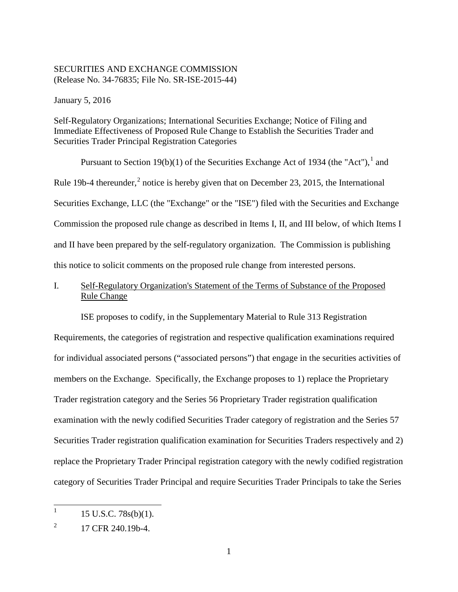#### SECURITIES AND EXCHANGE COMMISSION (Release No. 34-76835; File No. SR-ISE-2015-44)

January 5, 2016

Self-Regulatory Organizations; International Securities Exchange; Notice of Filing and Immediate Effectiveness of Proposed Rule Change to Establish the Securities Trader and Securities Trader Principal Registration Categories

Pursuant to Section 19(b)(1) of the Securities Exchange Act of 1934 (the "Act").<sup>1</sup> and Rule 19b-4 thereunder,<sup>2</sup> notice is hereby given that on December 23, 2015, the International Securities Exchange, LLC (the "Exchange" or the "ISE") filed with the Securities and Exchange Commission the proposed rule change as described in Items I, II, and III below, of which Items I and II have been prepared by the self-regulatory organization. The Commission is publishing this notice to solicit comments on the proposed rule change from interested persons.

# I. Self-Regulatory Organization's Statement of the Terms of Substance of the Proposed Rule Change

ISE proposes to codify, in the Supplementary Material to Rule 313 Registration

Requirements, the categories of registration and respective qualification examinations required for individual associated persons ("associated persons") that engage in the securities activities of members on the Exchange. Specifically, the Exchange proposes to 1) replace the Proprietary Trader registration category and the Series 56 Proprietary Trader registration qualification examination with the newly codified Securities Trader category of registration and the Series 57 Securities Trader registration qualification examination for Securities Traders respectively and 2) replace the Proprietary Trader Principal registration category with the newly codified registration category of Securities Trader Principal and require Securities Trader Principals to take the Series

 $1 - 15$  U.S.C. 78s(b)(1).

 $^{2}$  17 CFR 240.19b-4.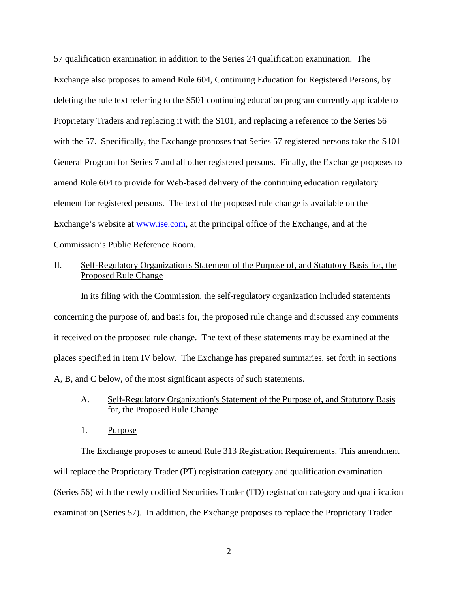57 qualification examination in addition to the Series 24 qualification examination. The Exchange also proposes to amend Rule 604, Continuing Education for Registered Persons, by deleting the rule text referring to the S501 continuing education program currently applicable to Proprietary Traders and replacing it with the S101, and replacing a reference to the Series 56 with the 57. Specifically, the Exchange proposes that Series 57 registered persons take the S101 General Program for Series 7 and all other registered persons. Finally, the Exchange proposes to amend Rule 604 to provide for Web-based delivery of the continuing education regulatory element for registered persons. The text of the proposed rule change is available on the Exchange's website at www.ise.com, at the principal office of the Exchange, and at the Commission's Public Reference Room.

## II. Self-Regulatory Organization's Statement of the Purpose of, and Statutory Basis for, the Proposed Rule Change

In its filing with the Commission, the self-regulatory organization included statements concerning the purpose of, and basis for, the proposed rule change and discussed any comments it received on the proposed rule change. The text of these statements may be examined at the places specified in Item IV below. The Exchange has prepared summaries, set forth in sections A, B, and C below, of the most significant aspects of such statements.

- A. Self-Regulatory Organization's Statement of the Purpose of, and Statutory Basis for, the Proposed Rule Change
- 1. Purpose

The Exchange proposes to amend Rule 313 Registration Requirements. This amendment will replace the Proprietary Trader (PT) registration category and qualification examination (Series 56) with the newly codified Securities Trader (TD) registration category and qualification examination (Series 57). In addition, the Exchange proposes to replace the Proprietary Trader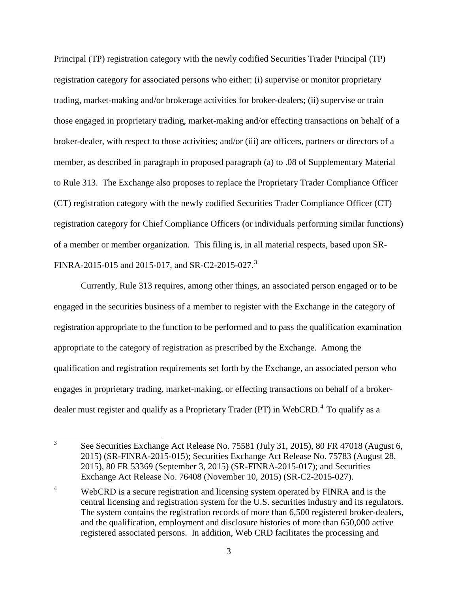Principal (TP) registration category with the newly codified Securities Trader Principal (TP) registration category for associated persons who either: (i) supervise or monitor proprietary trading, market-making and/or brokerage activities for broker-dealers; (ii) supervise or train those engaged in proprietary trading, market-making and/or effecting transactions on behalf of a broker-dealer, with respect to those activities; and/or (iii) are officers, partners or directors of a member, as described in paragraph in proposed paragraph (a) to .08 of Supplementary Material to Rule 313. The Exchange also proposes to replace the Proprietary Trader Compliance Officer (CT) registration category with the newly codified Securities Trader Compliance Officer (CT) registration category for Chief Compliance Officers (or individuals performing similar functions) of a member or member organization. This filing is, in all material respects, based upon SR-FINRA-2015-015 and 2015-017, and SR-C2-2015-027.<sup>3</sup>

Currently, Rule 313 requires, among other things, an associated person engaged or to be engaged in the securities business of a member to register with the Exchange in the category of registration appropriate to the function to be performed and to pass the qualification examination appropriate to the category of registration as prescribed by the Exchange. Among the qualification and registration requirements set forth by the Exchange, an associated person who engages in proprietary trading, market-making, or effecting transactions on behalf of a brokerdealer must register and qualify as a Proprietary Trader (PT) in WebCRD.<sup>4</sup> To qualify as a

<sup>&</sup>lt;sup>3</sup> See Securities Exchange Act Release No. 75581 (July 31, 2015), 80 FR 47018 (August 6, 2015) (SR-FINRA-2015-015); Securities Exchange Act Release No. 75783 (August 28, 2015), 80 FR 53369 (September 3, 2015) (SR-FINRA-2015-017); and Securities Exchange Act Release No. 76408 (November 10, 2015) (SR-C2-2015-027).

<sup>&</sup>lt;sup>4</sup> WebCRD is a secure registration and licensing system operated by FINRA and is the central licensing and registration system for the U.S. securities industry and its regulators. The system contains the registration records of more than 6,500 registered broker-dealers, and the qualification, employment and disclosure histories of more than 650,000 active registered associated persons. In addition, Web CRD facilitates the processing and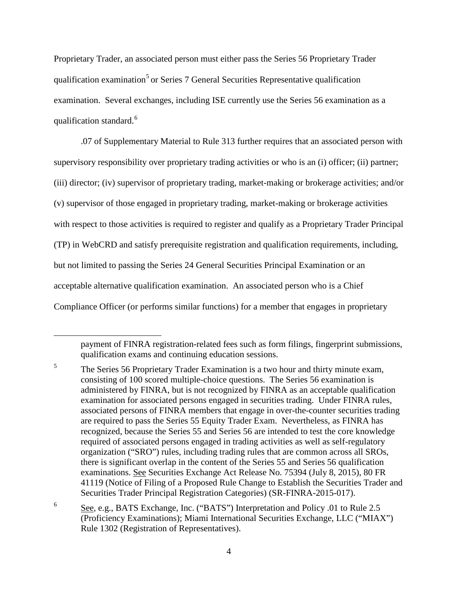Proprietary Trader, an associated person must either pass the Series 56 Proprietary Trader qualification examination<sup>5</sup> or Series 7 General Securities Representative qualification examination. Several exchanges, including ISE currently use the Series 56 examination as a qualification standard.<sup>6</sup>

.07 of Supplementary Material to Rule 313 further requires that an associated person with supervisory responsibility over proprietary trading activities or who is an (i) officer; (ii) partner; (iii) director; (iv) supervisor of proprietary trading, market-making or brokerage activities; and/or (v) supervisor of those engaged in proprietary trading, market-making or brokerage activities with respect to those activities is required to register and qualify as a Proprietary Trader Principal (TP) in WebCRD and satisfy prerequisite registration and qualification requirements, including, but not limited to passing the Series 24 General Securities Principal Examination or an acceptable alternative qualification examination. An associated person who is a Chief Compliance Officer (or performs similar functions) for a member that engages in proprietary

 $\overline{a}$ 

payment of FINRA registration-related fees such as form filings, fingerprint submissions, qualification exams and continuing education sessions.

<sup>&</sup>lt;sup>5</sup> The Series 56 Proprietary Trader Examination is a two hour and thirty minute exam, consisting of 100 scored multiple-choice questions. The Series 56 examination is administered by FINRA, but is not recognized by FINRA as an acceptable qualification examination for associated persons engaged in securities trading. Under FINRA rules, associated persons of FINRA members that engage in over-the-counter securities trading are required to pass the Series 55 Equity Trader Exam. Nevertheless, as FINRA has recognized, because the Series 55 and Series 56 are intended to test the core knowledge required of associated persons engaged in trading activities as well as self-regulatory organization ("SRO") rules, including trading rules that are common across all SROs, there is significant overlap in the content of the Series 55 and Series 56 qualification examinations. See Securities Exchange Act Release No. 75394 (July 8, 2015), 80 FR 41119 (Notice of Filing of a Proposed Rule Change to Establish the Securities Trader and Securities Trader Principal Registration Categories) (SR-FINRA-2015-017).

<sup>6</sup> See, e.g., BATS Exchange, Inc. ("BATS") Interpretation and Policy .01 to Rule 2.5 (Proficiency Examinations); Miami International Securities Exchange, LLC ("MIAX") Rule 1302 (Registration of Representatives).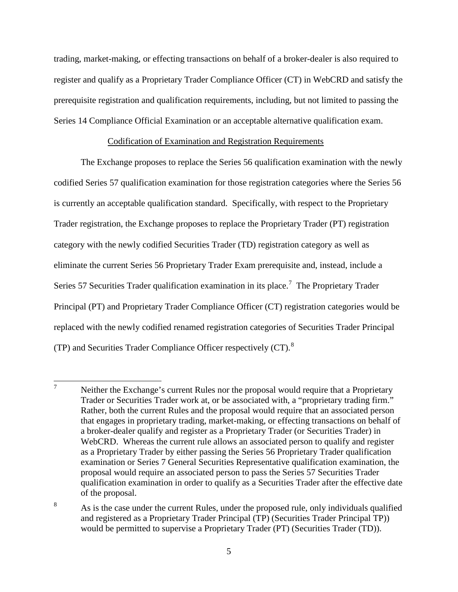trading, market-making, or effecting transactions on behalf of a broker-dealer is also required to register and qualify as a Proprietary Trader Compliance Officer (CT) in WebCRD and satisfy the prerequisite registration and qualification requirements, including, but not limited to passing the Series 14 Compliance Official Examination or an acceptable alternative qualification exam.

#### Codification of Examination and Registration Requirements

The Exchange proposes to replace the Series 56 qualification examination with the newly codified Series 57 qualification examination for those registration categories where the Series 56 is currently an acceptable qualification standard. Specifically, with respect to the Proprietary Trader registration, the Exchange proposes to replace the Proprietary Trader (PT) registration category with the newly codified Securities Trader (TD) registration category as well as eliminate the current Series 56 Proprietary Trader Exam prerequisite and, instead, include a Series 57 Securities Trader qualification examination in its place.<sup>7</sup> The Proprietary Trader Principal (PT) and Proprietary Trader Compliance Officer (CT) registration categories would be replaced with the newly codified renamed registration categories of Securities Trader Principal (TP) and Securities Trader Compliance Officer respectively  $(CT)$ .<sup>8</sup>

 $\frac{7}{10}$  Neither the Exchange's current Rules nor the proposal would require that a Proprietary Trader or Securities Trader work at, or be associated with, a "proprietary trading firm." Rather, both the current Rules and the proposal would require that an associated person that engages in proprietary trading, market-making, or effecting transactions on behalf of a broker-dealer qualify and register as a Proprietary Trader (or Securities Trader) in WebCRD. Whereas the current rule allows an associated person to qualify and register as a Proprietary Trader by either passing the Series 56 Proprietary Trader qualification examination or Series 7 General Securities Representative qualification examination, the proposal would require an associated person to pass the Series 57 Securities Trader qualification examination in order to qualify as a Securities Trader after the effective date of the proposal.

<sup>&</sup>lt;sup>8</sup> As is the case under the current Rules, under the proposed rule, only individuals qualified and registered as a Proprietary Trader Principal (TP) (Securities Trader Principal TP)) would be permitted to supervise a Proprietary Trader (PT) (Securities Trader (TD)).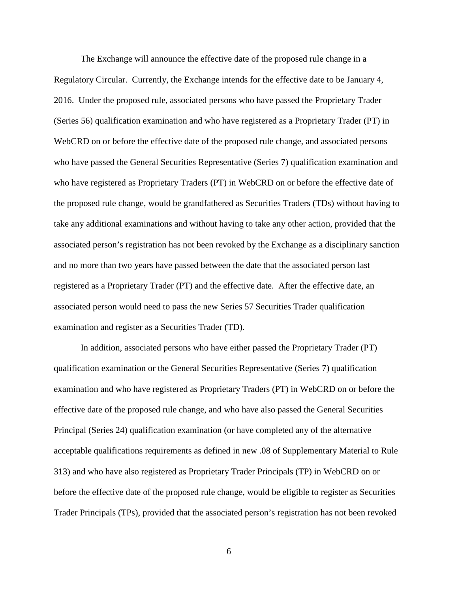The Exchange will announce the effective date of the proposed rule change in a Regulatory Circular. Currently, the Exchange intends for the effective date to be January 4, 2016. Under the proposed rule, associated persons who have passed the Proprietary Trader (Series 56) qualification examination and who have registered as a Proprietary Trader (PT) in WebCRD on or before the effective date of the proposed rule change, and associated persons who have passed the General Securities Representative (Series 7) qualification examination and who have registered as Proprietary Traders (PT) in WebCRD on or before the effective date of the proposed rule change, would be grandfathered as Securities Traders (TDs) without having to take any additional examinations and without having to take any other action, provided that the associated person's registration has not been revoked by the Exchange as a disciplinary sanction and no more than two years have passed between the date that the associated person last registered as a Proprietary Trader (PT) and the effective date. After the effective date, an associated person would need to pass the new Series 57 Securities Trader qualification examination and register as a Securities Trader (TD).

In addition, associated persons who have either passed the Proprietary Trader (PT) qualification examination or the General Securities Representative (Series 7) qualification examination and who have registered as Proprietary Traders (PT) in WebCRD on or before the effective date of the proposed rule change, and who have also passed the General Securities Principal (Series 24) qualification examination (or have completed any of the alternative acceptable qualifications requirements as defined in new .08 of Supplementary Material to Rule 313) and who have also registered as Proprietary Trader Principals (TP) in WebCRD on or before the effective date of the proposed rule change, would be eligible to register as Securities Trader Principals (TPs), provided that the associated person's registration has not been revoked

6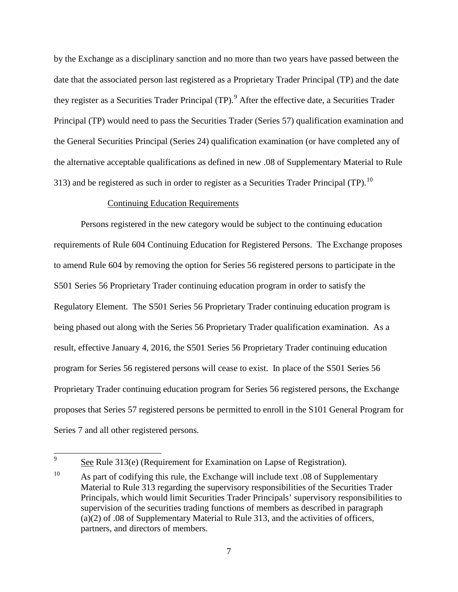by the Exchange as a disciplinary sanction and no more than two years have passed between the date that the associated person last registered as a Proprietary Trader Principal (TP) and the date they register as a Securities Trader Principal (TP).<sup>9</sup> After the effective date, a Securities Trader Principal (TP) would need to pass the Securities Trader (Series 57) qualification examination and the General Securities Principal (Series 24) qualification examination (or have completed any of the alternative acceptable qualifications as defined in new .08 of Supplementary Material to Rule 313) and be registered as such in order to register as a Securities Trader Principal (TP).<sup>10</sup>

### Continuing Education Requirements

Persons registered in the new category would be subject to the continuing education requirements of Rule 604 Continuing Education for Registered Persons. The Exchange proposes to amend Rule 604 by removing the option for Series 56 registered persons to participate in the S501 Series 56 Proprietary Trader continuing education program in order to satisfy the Regulatory Element. The S501 Series 56 Proprietary Trader continuing education program is being phased out along with the Series 56 Proprietary Trader qualification examination. As a result, effective January 4, 2016, the S501 Series 56 Proprietary Trader continuing education program for Series 56 registered persons will cease to exist. In place of the S501 Series 56 Proprietary Trader continuing education program for Series 56 registered persons, the Exchange proposes that Series 57 registered persons be permitted to enroll in the S101 General Program for Series 7 and all other registered persons.

 $\frac{9}{2}$  See Rule 313(e) (Requirement for Examination on Lapse of Registration).

<sup>&</sup>lt;sup>10</sup> As part of codifying this rule, the Exchange will include text  $.08$  of Supplementary Material to Rule 313 regarding the supervisory responsibilities of the Securities Trader Principals, which would limit Securities Trader Principals' supervisory responsibilities to supervision of the securities trading functions of members as described in paragraph (a)(2) of .08 of Supplementary Material to Rule 313, and the activities of officers, partners, and directors of members.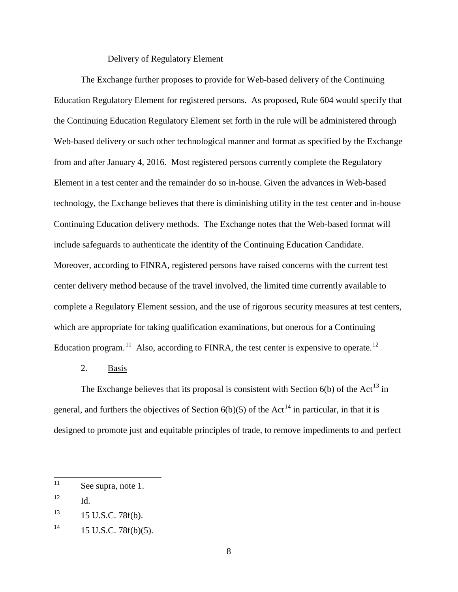#### Delivery of Regulatory Element

The Exchange further proposes to provide for Web-based delivery of the Continuing Education Regulatory Element for registered persons. As proposed, Rule 604 would specify that the Continuing Education Regulatory Element set forth in the rule will be administered through Web-based delivery or such other technological manner and format as specified by the Exchange from and after January 4, 2016. Most registered persons currently complete the Regulatory Element in a test center and the remainder do so in-house. Given the advances in Web-based technology, the Exchange believes that there is diminishing utility in the test center and in-house Continuing Education delivery methods. The Exchange notes that the Web-based format will include safeguards to authenticate the identity of the Continuing Education Candidate. Moreover, according to FINRA, registered persons have raised concerns with the current test center delivery method because of the travel involved, the limited time currently available to complete a Regulatory Element session, and the use of rigorous security measures at test centers, which are appropriate for taking qualification examinations, but onerous for a Continuing Education program.<sup>11</sup> Also, according to FINRA, the test center is expensive to operate.<sup>12</sup>

## 2. Basis

The Exchange believes that its proposal is consistent with Section  $6(b)$  of the Act<sup>13</sup> in general, and furthers the objectives of Section  $6(b)(5)$  of the Act<sup>14</sup> in particular, in that it is designed to promote just and equitable principles of trade, to remove impediments to and perfect

 $11$  See supra, note 1.

<sup>12</sup> Id.

 $13$  15 U.S.C. 78f(b).

 $14$  15 U.S.C. 78f(b)(5).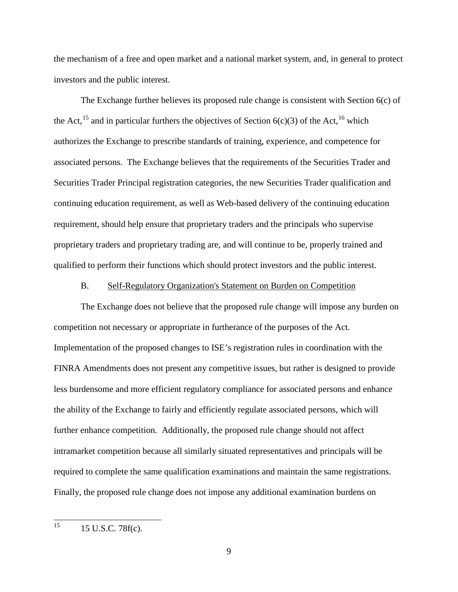the mechanism of a free and open market and a national market system, and, in general to protect investors and the public interest.

The Exchange further believes its proposed rule change is consistent with Section 6(c) of the Act,<sup>15</sup> and in particular furthers the objectives of Section  $6(c)(3)$  of the Act,<sup>16</sup> which authorizes the Exchange to prescribe standards of training, experience, and competence for associated persons. The Exchange believes that the requirements of the Securities Trader and Securities Trader Principal registration categories, the new Securities Trader qualification and continuing education requirement, as well as Web-based delivery of the continuing education requirement, should help ensure that proprietary traders and the principals who supervise proprietary traders and proprietary trading are, and will continue to be, properly trained and qualified to perform their functions which should protect investors and the public interest.

### B. Self-Regulatory Organization's Statement on Burden on Competition

The Exchange does not believe that the proposed rule change will impose any burden on competition not necessary or appropriate in furtherance of the purposes of the Act. Implementation of the proposed changes to ISE's registration rules in coordination with the FINRA Amendments does not present any competitive issues, but rather is designed to provide less burdensome and more efficient regulatory compliance for associated persons and enhance the ability of the Exchange to fairly and efficiently regulate associated persons, which will further enhance competition. Additionally, the proposed rule change should not affect intramarket competition because all similarly situated representatives and principals will be required to complete the same qualification examinations and maintain the same registrations. Finally, the proposed rule change does not impose any additional examination burdens on

 $15$  15 U.S.C. 78f(c).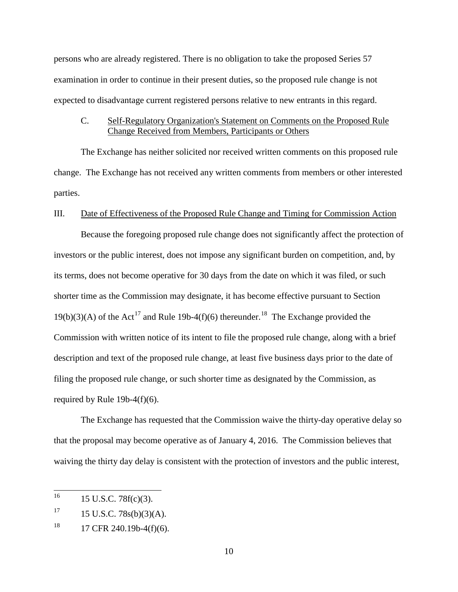persons who are already registered. There is no obligation to take the proposed Series 57 examination in order to continue in their present duties, so the proposed rule change is not expected to disadvantage current registered persons relative to new entrants in this regard.

### C. Self-Regulatory Organization's Statement on Comments on the Proposed Rule Change Received from Members, Participants or Others

The Exchange has neither solicited nor received written comments on this proposed rule change. The Exchange has not received any written comments from members or other interested parties.

### III. Date of Effectiveness of the Proposed Rule Change and Timing for Commission Action

Because the foregoing proposed rule change does not significantly affect the protection of investors or the public interest, does not impose any significant burden on competition, and, by its terms, does not become operative for 30 days from the date on which it was filed, or such shorter time as the Commission may designate, it has become effective pursuant to Section 19(b)(3)(A) of the Act<sup>17</sup> and Rule 19b-4(f)(6) thereunder.<sup>18</sup> The Exchange provided the Commission with written notice of its intent to file the proposed rule change, along with a brief description and text of the proposed rule change, at least five business days prior to the date of filing the proposed rule change, or such shorter time as designated by the Commission, as required by Rule 19b-4(f)(6).

The Exchange has requested that the Commission waive the thirty-day operative delay so that the proposal may become operative as of January 4, 2016. The Commission believes that waiving the thirty day delay is consistent with the protection of investors and the public interest,

 $^{16}$  15 U.S.C. 78 $f(c)(3)$ .

 $17 \qquad 15 \text{ U.S.C. } 78\text{s(b)}(3)(\text{A}).$ 

 $18$  17 CFR 240.19b-4(f)(6).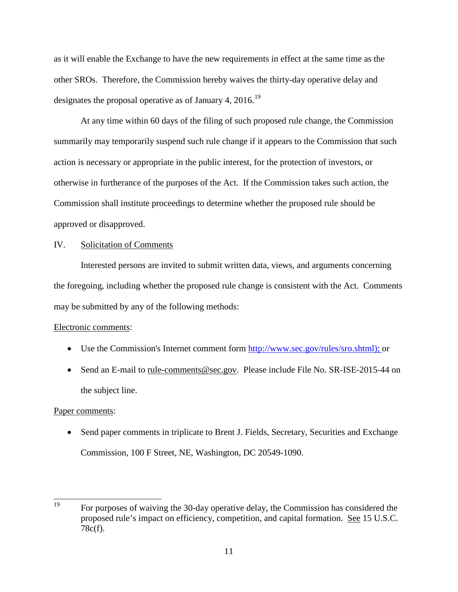as it will enable the Exchange to have the new requirements in effect at the same time as the other SROs. Therefore, the Commission hereby waives the thirty-day operative delay and designates the proposal operative as of January 4,  $2016$ .<sup>19</sup>

At any time within 60 days of the filing of such proposed rule change, the Commission summarily may temporarily suspend such rule change if it appears to the Commission that such action is necessary or appropriate in the public interest, for the protection of investors, or otherwise in furtherance of the purposes of the Act. If the Commission takes such action, the Commission shall institute proceedings to determine whether the proposed rule should be approved or disapproved.

## IV. Solicitation of Comments

Interested persons are invited to submit written data, views, and arguments concerning the foregoing, including whether the proposed rule change is consistent with the Act. Comments may be submitted by any of the following methods:

# Electronic comments:

- Use the Commission's Internet comment form  $\frac{http://www.sec.gov/rules/sro.shtml);$  or
- Send an E-mail to rule-comments@sec.gov. Please include File No. SR-ISE-2015-44 on the subject line.

# Paper comments:

• Send paper comments in triplicate to Brent J. Fields, Secretary, Securities and Exchange Commission, 100 F Street, NE, Washington, DC 20549-1090.

<sup>&</sup>lt;sup>19</sup> For purposes of waiving the 30-day operative delay, the Commission has considered the proposed rule's impact on efficiency, competition, and capital formation. See 15 U.S.C. 78c(f).